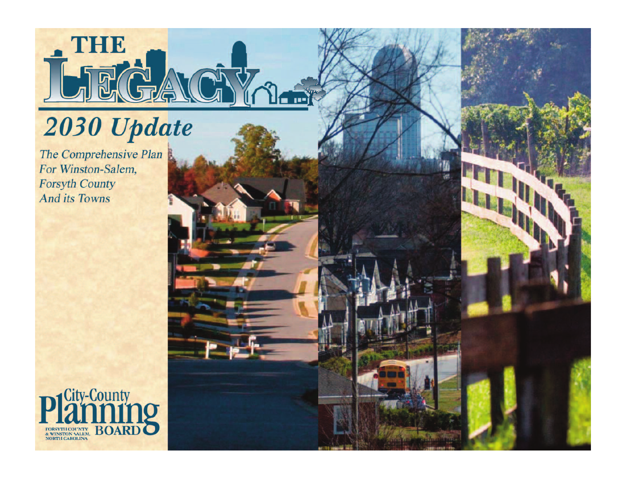

# 2030 Update

The Comprehensive Plan For Winston-Salem, **Forsyth County And its Towns** 

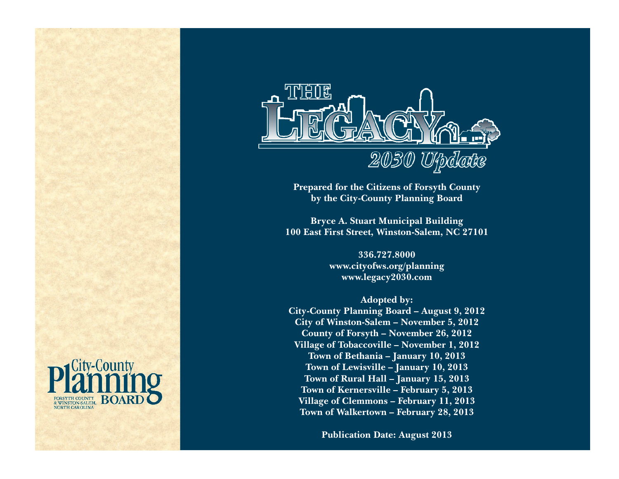

**Prepared for the Citizens of Forsyth County by the City-County Planning Board**

**Bryce A. Stuart Municipal Building 100 East First Street, Winston-Salem, NC 27101**

> **336.727.8000 www.cityofws.org/planning www.legacy2030.com**

**Adopted by: City-County Planning Board – August 9, 2012 City of Winston-Salem – November 5, 2012 County of Forsyth – November 26, 2012 Village of Tobaccoville – November 1, 2012 Town of Bethania – January 10, 2013 Town of Lewisville – January 10, 2013 Town of Rural Hall – January 15, 2013 Town of Kernersville – February 5, 2013 Village of Clemmons – February 11, 2013 Town of Walkertown – February 28, 2013**

**Publication Date: August 2013**

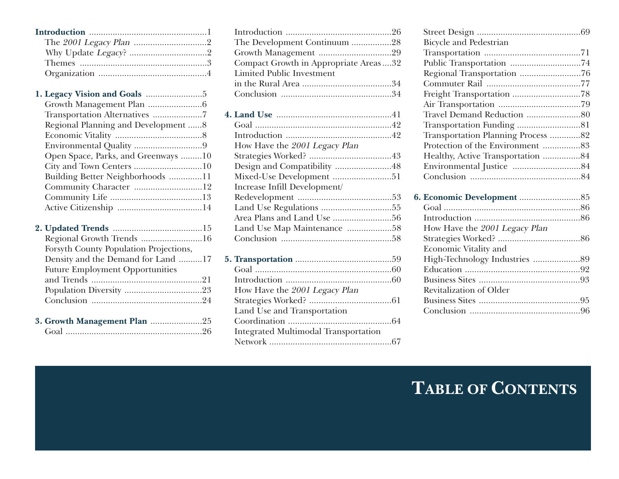#### **1. Legacy Vision and Goals** ........................5

| Regional Planning and Development 8 |  |
|-------------------------------------|--|
|                                     |  |
|                                     |  |
| Open Space, Parks, and Greenways 10 |  |
|                                     |  |
| Building Better Neighborhoods 11    |  |
| Community Character 12              |  |
|                                     |  |
|                                     |  |
|                                     |  |

| Regional Growth Trends 16              |  |
|----------------------------------------|--|
| Forsyth County Population Projections, |  |
| Density and the Demand for Land 17     |  |
| <b>Future Employment Opportunities</b> |  |
|                                        |  |
|                                        |  |
|                                        |  |
|                                        |  |
| 3. Growth Management Plan 25           |  |
|                                        |  |

| The Development Continuum 28                |
|---------------------------------------------|
|                                             |
| Compact Growth in Appropriate Areas  32     |
| <b>Limited Public Investment</b>            |
|                                             |
|                                             |
|                                             |
|                                             |
|                                             |
|                                             |
| How Have the 2001 Legacy Plan               |
|                                             |
| Design and Compatibility 48                 |
| Mixed-Use Development 51                    |
| Increase Infill Development/                |
|                                             |
|                                             |
|                                             |
| Land Use Map Maintenance 58                 |
|                                             |
|                                             |
|                                             |
|                                             |
|                                             |
| How Have the 2001 Legacy Plan               |
|                                             |
| Land Use and Transportation                 |
|                                             |
| <b>Integrated Multimodal Transportation</b> |
|                                             |
|                                             |

| <b>Bicycle and Pedestrian</b>      |  |
|------------------------------------|--|
|                                    |  |
| Public Transportation 74           |  |
|                                    |  |
|                                    |  |
|                                    |  |
|                                    |  |
|                                    |  |
|                                    |  |
| Transportation Planning Process 82 |  |
| Protection of the Environment 83   |  |
| Healthy, Active Transportation 84  |  |
|                                    |  |
|                                    |  |
|                                    |  |
|                                    |  |
|                                    |  |
| How Have the 2001 Legacy Plan      |  |
|                                    |  |
| <b>Economic Vitality and</b>       |  |
|                                    |  |
|                                    |  |

Business Sites ...........................................93

Business Sites ...........................................95 Conclusion ...............................................96

Revitalization of Older

## **TABLE OF CONTENTS**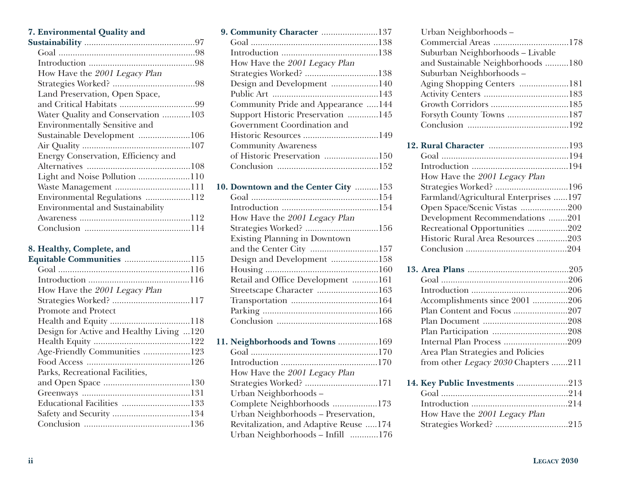#### **7. Environmental Quality and**

| How Have the 2001 Legacy Plan           |
|-----------------------------------------|
|                                         |
| Land Preservation, Open Space,          |
|                                         |
| Water Quality and Conservation 103      |
| <b>Environmentally Sensitive and</b>    |
| Sustainable Development 106             |
|                                         |
| Energy Conservation, Efficiency and     |
|                                         |
| Light and Noise Pollution 110           |
| Waste Management 111                    |
| Environmental Regulations 112           |
| <b>Environmental and Sustainability</b> |
|                                         |
|                                         |

#### **8. Healthy, Complete, and**

| <b>Equitable Communities 115</b>         |  |
|------------------------------------------|--|
|                                          |  |
|                                          |  |
| How Have the 2001 Legacy Plan            |  |
| Strategies Worked? 117                   |  |
| Promote and Protect                      |  |
|                                          |  |
| Design for Active and Healthy Living 120 |  |
|                                          |  |
| Age-Friendly Communities 123             |  |
|                                          |  |
| Parks, Recreational Facilities,          |  |
|                                          |  |
|                                          |  |
|                                          |  |
|                                          |  |
|                                          |  |
|                                          |  |

| 9. Community Character 137            |  |
|---------------------------------------|--|
|                                       |  |
|                                       |  |
| How Have the 2001 Legacy Plan         |  |
| Strategies Worked? 138                |  |
| Design and Development 140            |  |
|                                       |  |
| Community Pride and Appearance  144   |  |
| Support Historic Preservation 145     |  |
| Government Coordination and           |  |
|                                       |  |
| <b>Community Awareness</b>            |  |
| of Historic Preservation 150          |  |
|                                       |  |
|                                       |  |
| 10. Downtown and the Center City  153 |  |
|                                       |  |
|                                       |  |
| How Have the 2001 Legacy Plan         |  |
| Strategies Worked? 156                |  |
| <b>Existing Planning in Downtown</b>  |  |
| and the Center City 157               |  |
| Design and Development 158            |  |
|                                       |  |
| Retail and Office Development 161     |  |
| Streetscape Character 163             |  |
|                                       |  |
|                                       |  |
|                                       |  |

**11. Neighborhoods and Towns** .................169 Goal ......................................................170 Introduction .........................................170 How Have the 2001 Legacy Plan Strategies Worked? ...............................171 Urban Neighborhoods – Complete Neighborhoods ...................173 Urban Neighborhoods – Preservation, Revitalization, and Adaptive Reuse .....174 Urban Neighborhoods – Infill ............176

| Urban Neighborhoods-                  |
|---------------------------------------|
| Commercial Areas 178                  |
| Suburban Neighborhoods - Livable      |
| and Sustainable Neighborhoods 180     |
| Suburban Neighborhoods-               |
| Aging Shopping Centers 181            |
|                                       |
|                                       |
| Forsyth County Towns 187              |
|                                       |
|                                       |
|                                       |
|                                       |
| How Have the 2001 Legacy Plan         |
| Strategies Worked? 196                |
| Farmland/Agricultural Enterprises 197 |
| Open Space/Scenic Vistas 200          |
| Development Recommendations 201       |
| Recreational Opportunities 202        |
| Historic Rural Area Resources 203     |
|                                       |
|                                       |
|                                       |
|                                       |
| Accomplishments since 2001 206        |
| Plan Content and Focus 207            |
|                                       |
|                                       |
| Internal Plan Process 209             |
| Area Plan Strategies and Policies     |
| from other Legacy 2030 Chapters 211   |
| 14. Key Public Investments 213        |
|                                       |
|                                       |
| How Have the 2001 Legacy Plan         |
| Strategies Worked? 215                |